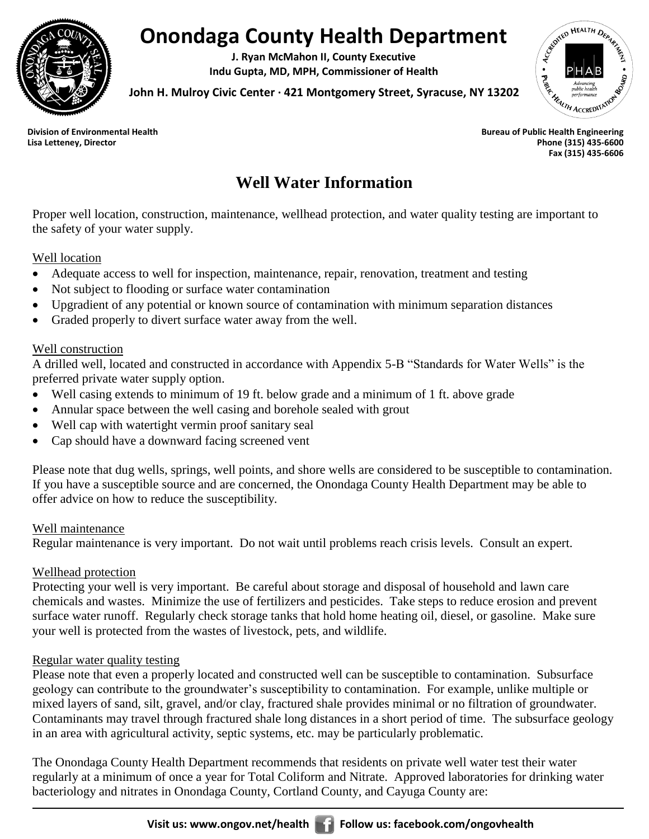

# **Onondaga County Health Department**

**J. Ryan McMahon II, County Executive Indu Gupta, MD, MPH, Commissioner of Health**



**John H. Mulroy Civic Center ∙ 421 Montgomery Street, Syracuse, NY 13202**

**Lisa Letteney, Director Phone (315) 435-6600 Fax (315) 435-6606**

# **Well Water Information**

Proper well location, construction, maintenance, wellhead protection, and water quality testing are important to the safety of your water supply.

#### Well location

- Adequate access to well for inspection, maintenance, repair, renovation, treatment and testing
- Not subject to flooding or surface water contamination
- Upgradient of any potential or known source of contamination with minimum separation distances
- Graded properly to divert surface water away from the well.

#### Well construction

A drilled well, located and constructed in accordance with Appendix 5-B "Standards for Water Wells" is the preferred private water supply option.

- Well casing extends to minimum of 19 ft. below grade and a minimum of 1 ft. above grade
- Annular space between the well casing and borehole sealed with grout
- Well cap with watertight vermin proof sanitary seal
- Cap should have a downward facing screened vent

Please note that dug wells, springs, well points, and shore wells are considered to be susceptible to contamination. If you have a susceptible source and are concerned, the Onondaga County Health Department may be able to offer advice on how to reduce the susceptibility.

#### Well maintenance

Regular maintenance is very important. Do not wait until problems reach crisis levels. Consult an expert.

## Wellhead protection

Protecting your well is very important. Be careful about storage and disposal of household and lawn care chemicals and wastes. Minimize the use of fertilizers and pesticides. Take steps to reduce erosion and prevent surface water runoff. Regularly check storage tanks that hold home heating oil, diesel, or gasoline. Make sure your well is protected from the wastes of livestock, pets, and wildlife.

## Regular water quality testing

Please note that even a properly located and constructed well can be susceptible to contamination. Subsurface geology can contribute to the groundwater's susceptibility to contamination. For example, unlike multiple or mixed layers of sand, silt, gravel, and/or clay, fractured shale provides minimal or no filtration of groundwater. Contaminants may travel through fractured shale long distances in a short period of time. The subsurface geology in an area with agricultural activity, septic systems, etc. may be particularly problematic.

The Onondaga County Health Department recommends that residents on private well water test their water regularly at a minimum of once a year for Total Coliform and Nitrate. Approved laboratories for drinking water bacteriology and nitrates in Onondaga County, Cortland County, and Cayuga County are: